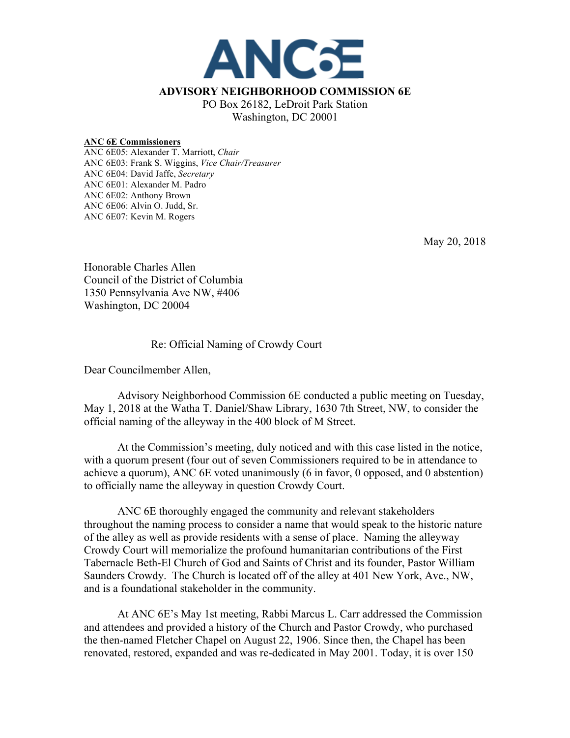

## **ANC 6E Commissioners**

ANC 6E05: Alexander T. Marriott, *Chair* ANC 6E03: Frank S. Wiggins, *Vice Chair/Treasurer* ANC 6E04: David Jaffe, *Secretary* ANC 6E01: Alexander M. Padro ANC 6E02: Anthony Brown ANC 6E06: Alvin O. Judd, Sr. ANC 6E07: Kevin M. Rogers

May 20, 2018

Honorable Charles Allen Council of the District of Columbia 1350 Pennsylvania Ave NW, #406 Washington, DC 20004

## Re: Official Naming of Crowdy Court

Dear Councilmember Allen,

Advisory Neighborhood Commission 6E conducted a public meeting on Tuesday, May 1, 2018 at the Watha T. Daniel/Shaw Library, 1630 7th Street, NW, to consider the official naming of the alleyway in the 400 block of M Street.

At the Commission's meeting, duly noticed and with this case listed in the notice, with a quorum present (four out of seven Commissioners required to be in attendance to achieve a quorum), ANC 6E voted unanimously (6 in favor, 0 opposed, and 0 abstention) to officially name the alleyway in question Crowdy Court.

ANC 6E thoroughly engaged the community and relevant stakeholders throughout the naming process to consider a name that would speak to the historic nature of the alley as well as provide residents with a sense of place. Naming the alleyway Crowdy Court will memorialize the profound humanitarian contributions of the First Tabernacle Beth-El Church of God and Saints of Christ and its founder, Pastor William Saunders Crowdy. The Church is located off of the alley at 401 New York, Ave., NW, and is a foundational stakeholder in the community.

At ANC 6E's May 1st meeting, Rabbi Marcus L. Carr addressed the Commission and attendees and provided a history of the Church and Pastor Crowdy, who purchased the then-named Fletcher Chapel on August 22, 1906. Since then, the Chapel has been renovated, restored, expanded and was re-dedicated in May 2001. Today, it is over 150